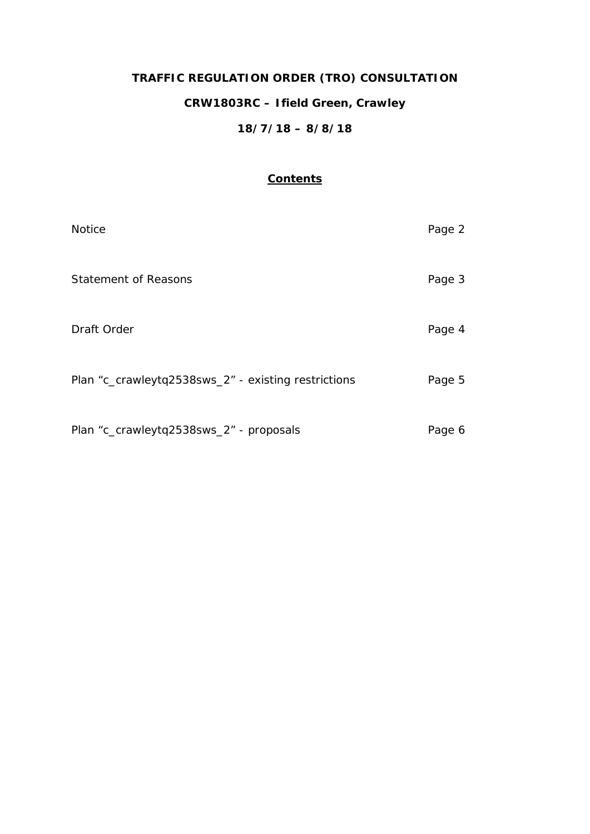# **TRAFFIC REGULATION ORDER (TRO) CONSULTATION CRW1803RC – Ifield Green, Crawley 18/7/18 – 8/8/18**

## **Contents**

| <b>Notice</b>                                       | Page 2 |
|-----------------------------------------------------|--------|
| <b>Statement of Reasons</b>                         | Page 3 |
| Draft Order                                         | Page 4 |
| Plan "c_crawleytq2538sws_2" - existing restrictions | Page 5 |
| Plan "c_crawleytq2538sws_2" - proposals             | Page 6 |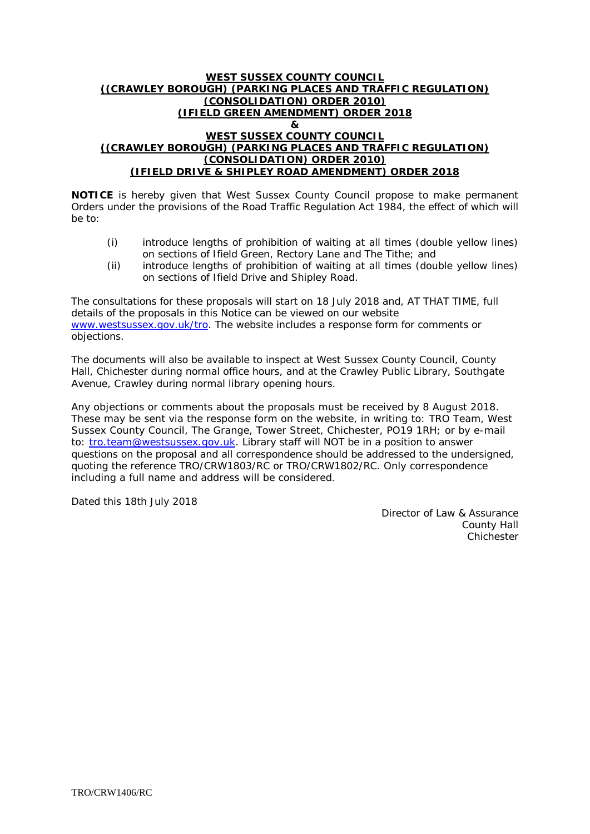#### **WEST SUSSEX COUNTY COUNCIL ((CRAWLEY BOROUGH) (PARKING PLACES AND TRAFFIC REGULATION) (CONSOLIDATION) ORDER 2010) (IFIELD GREEN AMENDMENT) ORDER 2018 & WEST SUSSEX COUNTY COUNCIL ((CRAWLEY BOROUGH) (PARKING PLACES AND TRAFFIC REGULATION) (CONSOLIDATION) ORDER 2010) (IFIELD DRIVE & SHIPLEY ROAD AMENDMENT) ORDER 2018**

**NOTICE** is hereby given that West Sussex County Council propose to make permanent Orders under the provisions of the Road Traffic Regulation Act 1984, the effect of which will be to:

- (i) introduce lengths of prohibition of waiting at all times (double yellow lines) on sections of Ifield Green, Rectory Lane and The Tithe; and
- (ii) introduce lengths of prohibition of waiting at all times (double yellow lines) on sections of Ifield Drive and Shipley Road.

The consultations for these proposals will start on 18 July 2018 and, AT THAT TIME, full details of the proposals in this Notice can be viewed on our website [www.westsussex.gov.uk/tro.](http://www.westsussex.gov.uk/tro) The website includes a response form for comments or objections.

The documents will also be available to inspect at West Sussex County Council, County Hall, Chichester during normal office hours, and at the Crawley Public Library, Southgate Avenue, Crawley during normal library opening hours.

Any objections or comments about the proposals must be received by 8 August 2018. These may be sent via the response form on the website, in writing to: TRO Team, West Sussex County Council, The Grange, Tower Street, Chichester, PO19 1RH; or by e-mail to: [tro.team@westsussex.gov.uk.](mailto:tro.team@westsussex.gov.uk) Library staff will NOT be in a position to answer questions on the proposal and all correspondence should be addressed to the undersigned, quoting the reference TRO/CRW1803/RC or TRO/CRW1802/RC. Only correspondence including a full name and address will be considered.

Dated this 18th July 2018

Director of Law & Assurance County Hall **Chichester**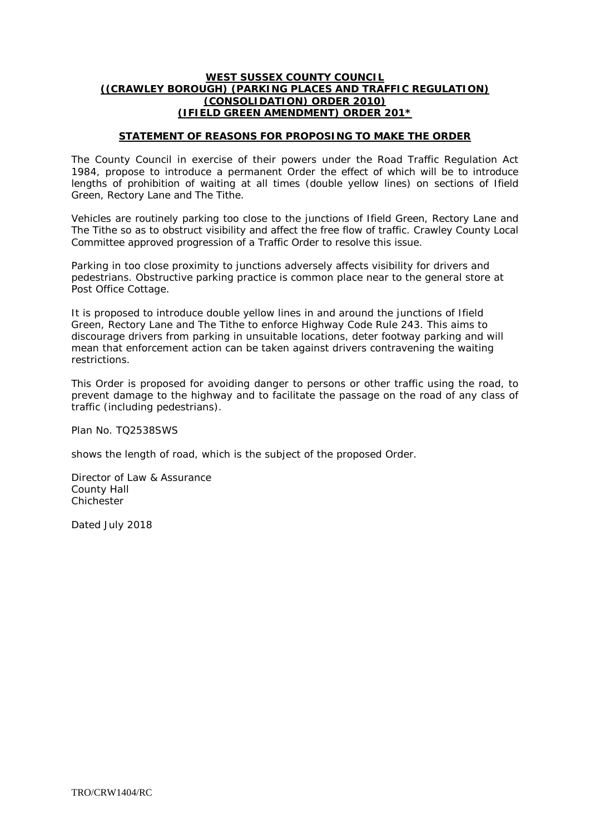#### **WEST SUSSEX COUNTY COUNCIL ((CRAWLEY BOROUGH) (PARKING PLACES AND TRAFFIC REGULATION) (CONSOLIDATION) ORDER 2010) (IFIELD GREEN AMENDMENT) ORDER 201\***

#### **STATEMENT OF REASONS FOR PROPOSING TO MAKE THE ORDER**

The County Council in exercise of their powers under the Road Traffic Regulation Act 1984, propose to introduce a permanent Order the effect of which will be to introduce lengths of prohibition of waiting at all times (double yellow lines) on sections of Ifield Green, Rectory Lane and The Tithe.

Vehicles are routinely parking too close to the junctions of Ifield Green, Rectory Lane and The Tithe so as to obstruct visibility and affect the free flow of traffic. Crawley County Local Committee approved progression of a Traffic Order to resolve this issue.

Parking in too close proximity to junctions adversely affects visibility for drivers and pedestrians. Obstructive parking practice is common place near to the general store at Post Office Cottage.

It is proposed to introduce double yellow lines in and around the junctions of Ifield Green, Rectory Lane and The Tithe to enforce Highway Code Rule 243. This aims to discourage drivers from parking in unsuitable locations, deter footway parking and will mean that enforcement action can be taken against drivers contravening the waiting restrictions.

This Order is proposed for avoiding danger to persons or other traffic using the road, to prevent damage to the highway and to facilitate the passage on the road of any class of traffic (including pedestrians).

Plan No. TQ2538SWS

shows the length of road, which is the subject of the proposed Order.

Director of Law & Assurance County Hall Chichester

Dated July 2018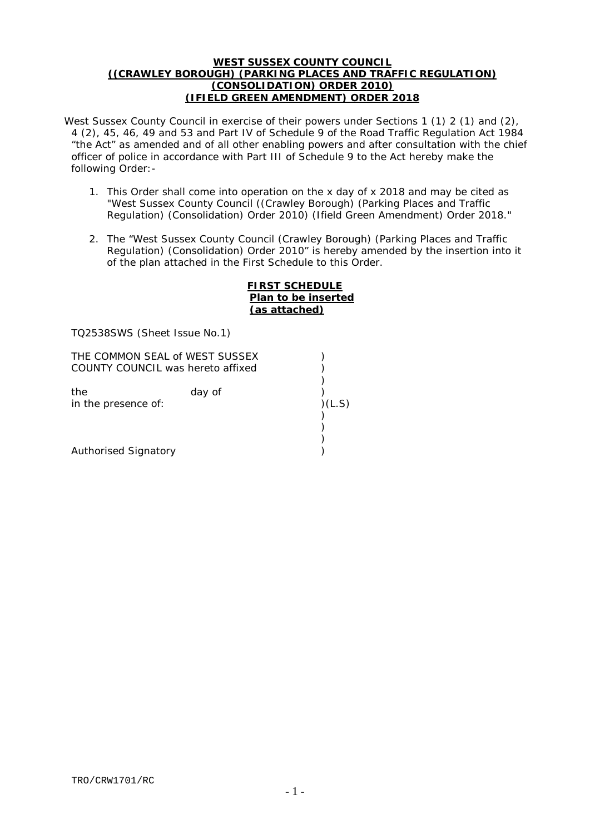#### **WEST SUSSEX COUNTY COUNCIL ((CRAWLEY BOROUGH) (PARKING PLACES AND TRAFFIC REGULATION) (CONSOLIDATION) ORDER 2010) (IFIELD GREEN AMENDMENT) ORDER 2018**

West Sussex County Council in exercise of their powers under Sections 1 (1) 2 (1) and (2), 4 (2), 45, 46, 49 and 53 and Part IV of Schedule 9 of the Road Traffic Regulation Act 1984 "the Act" as amended and of all other enabling powers and after consultation with the chief officer of police in accordance with Part III of Schedule 9 to the Act hereby make the following Order:-

- 1. This Order shall come into operation on the x day of x 2018 and may be cited as "West Sussex County Council ((Crawley Borough) (Parking Places and Traffic Regulation) (Consolidation) Order 2010) (Ifield Green Amendment) Order 2018."
- 2. The "West Sussex County Council (Crawley Borough) (Parking Places and Traffic Regulation) (Consolidation) Order 2010" is hereby amended by the insertion into it of the plan attached in the First Schedule to this Order.

### **FIRST SCHEDULE Plan to be inserted (as attached)**

TQ2538SWS (Sheet Issue No.1)

| THE COMMON SEAL of WEST SUSSEX<br>COUNTY COUNCIL was hereto affixed |        |       |
|---------------------------------------------------------------------|--------|-------|
| the<br>in the presence of:                                          | day of | (L.S) |
| <b>Authorised Signatory</b>                                         |        |       |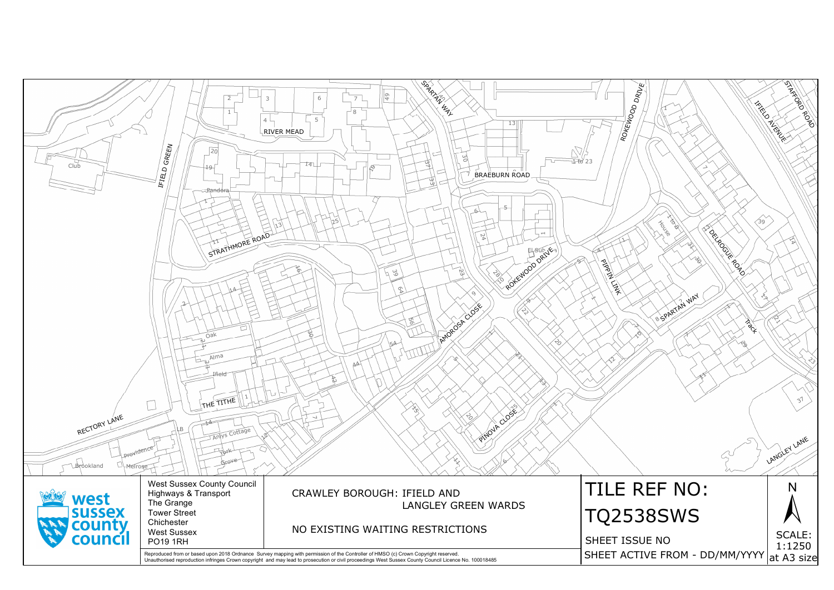